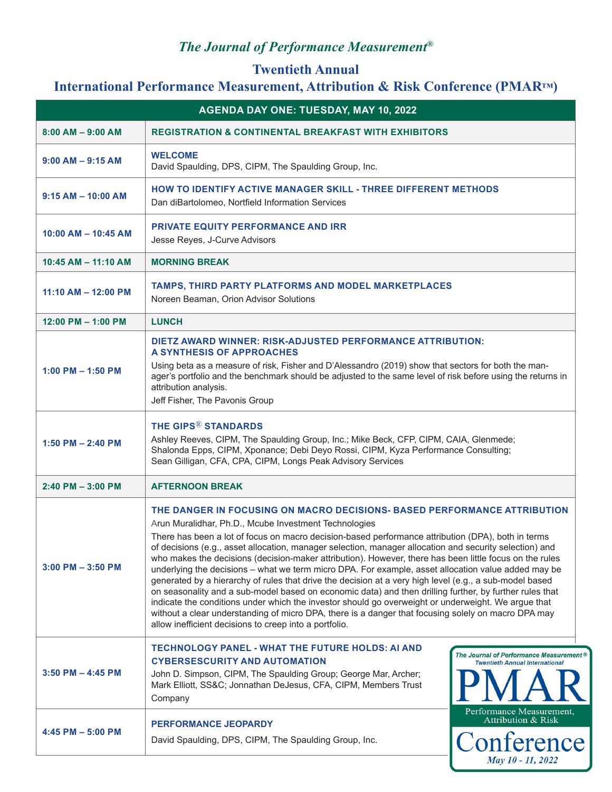# *The Journal of Performance Measurement®*

#### **Twentieth Annual International Performance Measurement, Attribution & Risk Conference (PMAR™)**

| AGENDA DAY ONE: TUESDAY, MAY 10, 2022 |                                                                                                                                                                                                                                                                                                                                                                                                                                                                                                                                                                                                                                                                                                                                                                                                                                                                                                                                                                                                                                                                    |  |  |
|---------------------------------------|--------------------------------------------------------------------------------------------------------------------------------------------------------------------------------------------------------------------------------------------------------------------------------------------------------------------------------------------------------------------------------------------------------------------------------------------------------------------------------------------------------------------------------------------------------------------------------------------------------------------------------------------------------------------------------------------------------------------------------------------------------------------------------------------------------------------------------------------------------------------------------------------------------------------------------------------------------------------------------------------------------------------------------------------------------------------|--|--|
| $8:00$ AM $-$ 9:00 AM                 | <b>REGISTRATION &amp; CONTINENTAL BREAKFAST WITH EXHIBITORS</b>                                                                                                                                                                                                                                                                                                                                                                                                                                                                                                                                                                                                                                                                                                                                                                                                                                                                                                                                                                                                    |  |  |
| $9:00$ AM $-$ 9:15 AM                 | <b>WELCOME</b><br>David Spaulding, DPS, CIPM, The Spaulding Group, Inc.                                                                                                                                                                                                                                                                                                                                                                                                                                                                                                                                                                                                                                                                                                                                                                                                                                                                                                                                                                                            |  |  |
| $9:15 AM - 10:00 AM$                  | <b>HOW TO IDENTIFY ACTIVE MANAGER SKILL - THREE DIFFERENT METHODS</b><br>Dan diBartolomeo, Nortfield Information Services                                                                                                                                                                                                                                                                                                                                                                                                                                                                                                                                                                                                                                                                                                                                                                                                                                                                                                                                          |  |  |
| $10:00$ AM $- 10:45$ AM               | <b>PRIVATE EQUITY PERFORMANCE AND IRR</b><br>Jesse Reyes, J-Curve Advisors                                                                                                                                                                                                                                                                                                                                                                                                                                                                                                                                                                                                                                                                                                                                                                                                                                                                                                                                                                                         |  |  |
| $10:45$ AM $- 11:10$ AM               | <b>MORNING BREAK</b>                                                                                                                                                                                                                                                                                                                                                                                                                                                                                                                                                                                                                                                                                                                                                                                                                                                                                                                                                                                                                                               |  |  |
| $11:10 AM - 12:00 PM$                 | TAMPS, THIRD PARTY PLATFORMS AND MODEL MARKETPLACES<br>Noreen Beaman, Orion Advisor Solutions                                                                                                                                                                                                                                                                                                                                                                                                                                                                                                                                                                                                                                                                                                                                                                                                                                                                                                                                                                      |  |  |
| $12:00$ PM $- 1:00$ PM                | <b>LUNCH</b>                                                                                                                                                                                                                                                                                                                                                                                                                                                                                                                                                                                                                                                                                                                                                                                                                                                                                                                                                                                                                                                       |  |  |
| $1:00$ PM $- 1:50$ PM                 | DIETZ AWARD WINNER: RISK-ADJUSTED PERFORMANCE ATTRIBUTION:<br>A SYNTHESIS OF APPROACHES<br>Using beta as a measure of risk, Fisher and D'Alessandro (2019) show that sectors for both the man-<br>ager's portfolio and the benchmark should be adjusted to the same level of risk before using the returns in<br>attribution analysis.<br>Jeff Fisher, The Pavonis Group                                                                                                                                                                                                                                                                                                                                                                                                                                                                                                                                                                                                                                                                                           |  |  |
| 1:50 PM $-$ 2:40 PM                   | <b>THE GIPS® STANDARDS</b><br>Ashley Reeves, CIPM, The Spaulding Group, Inc.; Mike Beck, CFP, CIPM, CAIA, Glenmede;<br>Shalonda Epps, CIPM, Xponance; Debi Deyo Rossi, CIPM, Kyza Performance Consulting;<br>Sean Gilligan, CFA, CPA, CIPM, Longs Peak Advisory Services                                                                                                                                                                                                                                                                                                                                                                                                                                                                                                                                                                                                                                                                                                                                                                                           |  |  |
| $2:40$ PM $-3:00$ PM                  | <b>AFTERNOON BREAK</b>                                                                                                                                                                                                                                                                                                                                                                                                                                                                                                                                                                                                                                                                                                                                                                                                                                                                                                                                                                                                                                             |  |  |
| $3:00$ PM $-3:50$ PM                  | THE DANGER IN FOCUSING ON MACRO DECISIONS- BASED PERFORMANCE ATTRIBUTION<br>Arun Muralidhar, Ph.D., Mcube Investment Technologies<br>There has been a lot of focus on macro decision-based performance attribution (DPA), both in terms<br>of decisions (e.g., asset allocation, manager selection, manager allocation and security selection) and<br>who makes the decisions (decision-maker attribution). However, there has been little focus on the rules<br>underlying the decisions - what we term micro DPA. For example, asset allocation value added may be<br>generated by a hierarchy of rules that drive the decision at a very high level (e.g., a sub-model based<br>on seasonality and a sub-model based on economic data) and then drilling further, by further rules that<br>indicate the conditions under which the investor should go overweight or underweight. We argue that<br>without a clear understanding of micro DPA, there is a danger that focusing solely on macro DPA may<br>allow inefficient decisions to creep into a portfolio. |  |  |
| $3:50$ PM $-$ 4:45 PM                 | TECHNOLOGY PANEL - WHAT THE FUTURE HOLDS: AI AND<br><b>The Journal of Performance Measurement</b><br><b>CYBERSESCURITY AND AUTOMATION</b><br><b>Twentieth Annual International</b><br>John D. Simpson, CIPM, The Spaulding Group; George Mar, Archer;<br>Mark Elliott, SS&C Jonnathan DeJesus, CFA, CIPM, Members Trust<br>Company                                                                                                                                                                                                                                                                                                                                                                                                                                                                                                                                                                                                                                                                                                                                 |  |  |
| 4:45 PM $-$ 5:00 PM                   | Performance Measurement,<br><b>Attribution &amp; Risk</b><br><b>PERFORMANCE JEOPARDY</b><br>Conference<br>David Spaulding, DPS, CIPM, The Spaulding Group, Inc.<br>May 10 - 11, 2022                                                                                                                                                                                                                                                                                                                                                                                                                                                                                                                                                                                                                                                                                                                                                                                                                                                                               |  |  |